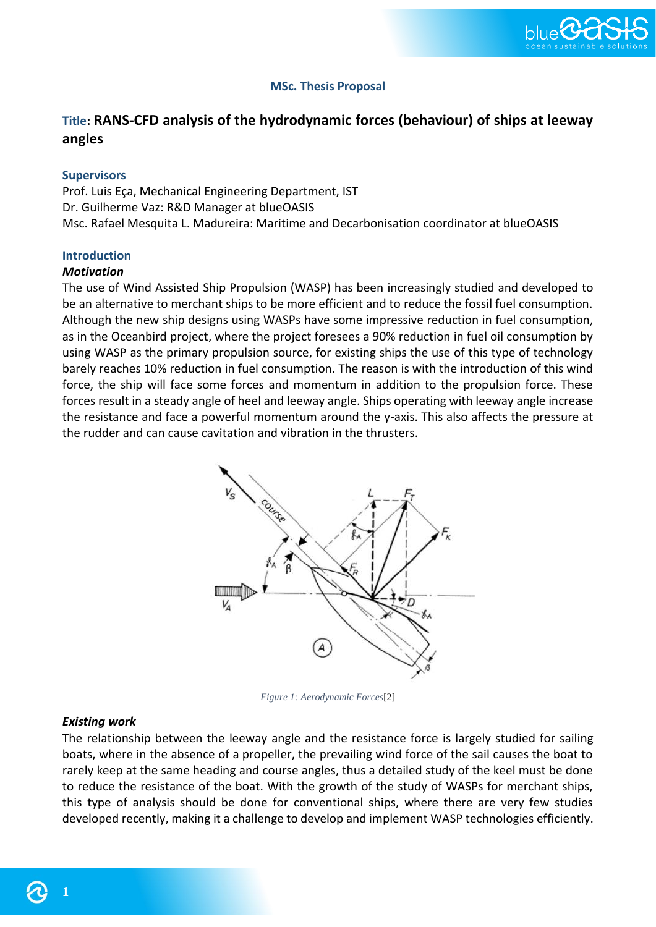

# **MSc. Thesis Proposal**

# **Title: RANS-CFD analysis of the hydrodynamic forces (behaviour) of ships at leeway angles**

#### **Supervisors**

Prof. Luis Eça, Mechanical Engineering Department, IST Dr. Guilherme Vaz: R&D Manager at blueOASIS Msc. Rafael Mesquita L. Madureira: Maritime and Decarbonisation coordinator at blueOASIS

## **Introduction**

## *Motivation*

The use of Wind Assisted Ship Propulsion (WASP) has been increasingly studied and developed to be an alternative to merchant ships to be more efficient and to reduce the fossil fuel consumption. Although the new ship designs using WASPs have some impressive reduction in fuel consumption, as in the Oceanbird project, where the project foresees a 90% reduction in fuel oil consumption by using WASP as the primary propulsion source, for existing ships the use of this type of technology barely reaches 10% reduction in fuel consumption. The reason is with the introduction of this wind force, the ship will face some forces and momentum in addition to the propulsion force. These forces result in a steady angle of heel and leeway angle. Ships operating with leeway angle increase the resistance and face a powerful momentum around the y-axis. This also affects the pressure at the rudder and can cause cavitation and vibration in the thrusters.



*Figure 1: Aerodynamic Forces*[2]

## *Existing work*

The relationship between the leeway angle and the resistance force is largely studied for sailing boats, where in the absence of a propeller, the prevailing wind force of the sail causes the boat to rarely keep at the same heading and course angles, thus a detailed study of the keel must be done to reduce the resistance of the boat. With the growth of the study of WASPs for merchant ships, this type of analysis should be done for conventional ships, where there are very few studies developed recently, making it a challenge to develop and implement WASP technologies efficiently.

**1**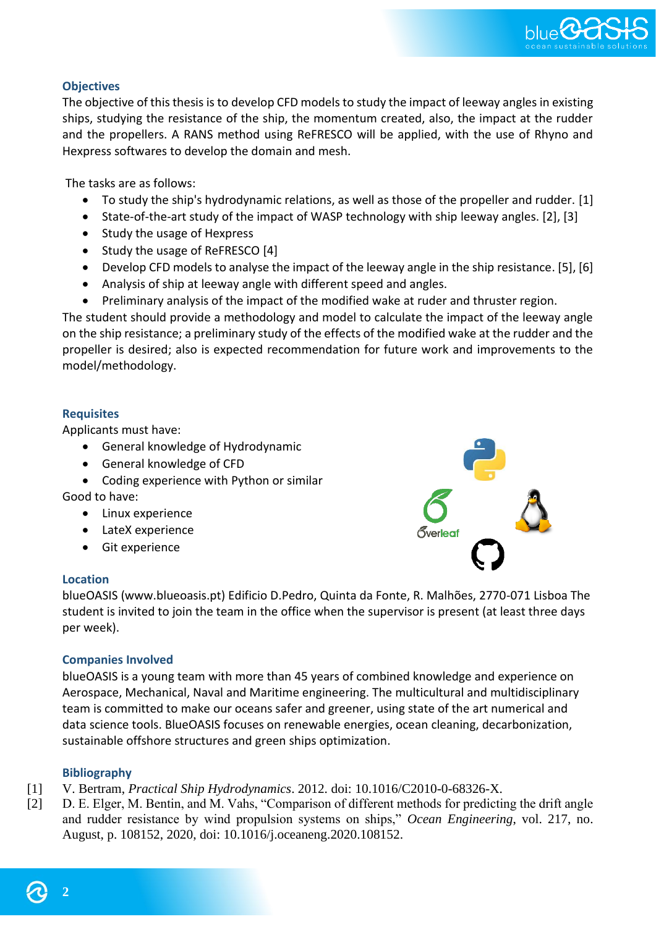

# **Objectives**

The objective of this thesis is to develop CFD models to study the impact of leeway angles in existing ships, studying the resistance of the ship, the momentum created, also, the impact at the rudder and the propellers. A RANS method using ReFRESCO will be applied, with the use of Rhyno and Hexpress softwares to develop the domain and mesh.

The tasks are as follows:

- To study the ship's hydrodynamic relations, as well as those of the propeller and rudder. [1]
- State-of-the-art study of the impact of WASP technology with ship leeway angles. [2], [3]
- Study the usage of Hexpress
- Study the usage of ReFRESCO [4]
- Develop CFD models to analyse the impact of the leeway angle in the ship resistance. [5], [6]
- Analysis of ship at leeway angle with different speed and angles.
- Preliminary analysis of the impact of the modified wake at ruder and thruster region.

The student should provide a methodology and model to calculate the impact of the leeway angle on the ship resistance; a preliminary study of the effects of the modified wake at the rudder and the propeller is desired; also is expected recommendation for future work and improvements to the model/methodology.

## **Requisites**

Applicants must have:

- General knowledge of Hydrodynamic
- General knowledge of CFD
- Coding experience with Python or similar

Good to have:

- Linux experience
- LateX experience
- Git experience

#### **Location**



blueOASIS (www.blueoasis.pt) Edificio D.Pedro, Quinta da Fonte, R. Malhões, 2770-071 Lisboa The student is invited to join the team in the office when the supervisor is present (at least three days per week).

#### **Companies Involved**

blueOASIS is a young team with more than 45 years of combined knowledge and experience on Aerospace, Mechanical, Naval and Maritime engineering. The multicultural and multidisciplinary team is committed to make our oceans safer and greener, using state of the art numerical and data science tools. BlueOASIS focuses on renewable energies, ocean cleaning, decarbonization, sustainable offshore structures and green ships optimization.

#### **Bibliography**

- [1] V. Bertram, *Practical Ship Hydrodynamics*. 2012. doi: 10.1016/C2010-0-68326-X.
- [2] D. E. Elger, M. Bentin, and M. Vahs, "Comparison of different methods for predicting the drift angle and rudder resistance by wind propulsion systems on ships," *Ocean Engineering*, vol. 217, no. August, p. 108152, 2020, doi: 10.1016/j.oceaneng.2020.108152.

**2**